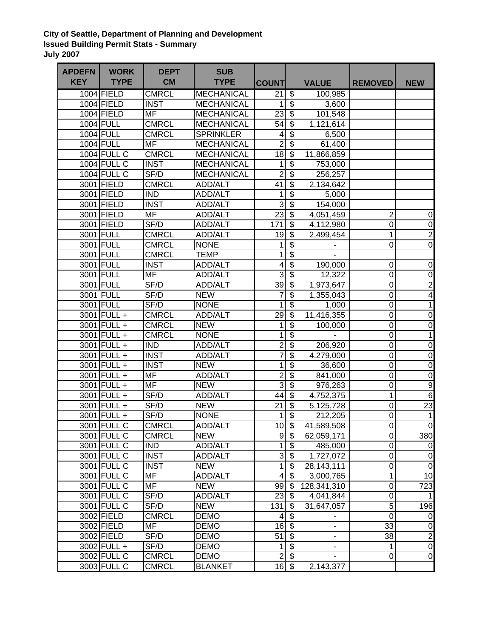## **City of Seattle, Department of Planning and Development Issued Building Permit Stats - Summary July 2007**

| <b>APDEFN</b> | <b>WORK</b>        | <b>DEPT</b>              | <b>SUB</b>        |                                 |                                        |              |                         |                         |
|---------------|--------------------|--------------------------|-------------------|---------------------------------|----------------------------------------|--------------|-------------------------|-------------------------|
| <b>KEY</b>    | <b>TYPE</b>        | <b>CM</b>                | <b>TYPE</b>       | <b>COUNT</b>                    |                                        | <b>VALUE</b> | <b>REMOVED</b>          | <b>NEW</b>              |
|               | 1004 FIELD         | <b>CMRCL</b>             | <b>MECHANICAL</b> | 21                              | \$                                     | 100,985      |                         |                         |
|               | 1004 FIELD         | <b>INST</b>              | <b>MECHANICAL</b> | 1                               | $\boldsymbol{\theta}$                  | 3,600        |                         |                         |
|               | 1004 FIELD         | $\overline{\mathsf{MF}}$ | <b>MECHANICAL</b> | $23\overline{3}$                |                                        | 101,548      |                         |                         |
|               | 1004 FULL          | <b>CMRCL</b>             | <b>MECHANICAL</b> | $54$ \$                         |                                        | 1,121,614    |                         |                         |
|               | 1004 FULL          | <b>CMRCL</b>             | <b>SPRINKLER</b>  | $\vert 4 \vert$                 | $\overline{\$}$                        | 6,500        |                         |                         |
|               | <b>1004 FULL</b>   | <b>MF</b>                | <b>MECHANICAL</b> | $\overline{2}$                  | $\overline{\$}$                        | 61,400       |                         |                         |
|               | <b>1004 FULL C</b> | <b>CMRCL</b>             | <b>MECHANICAL</b> | 18                              | $\overline{\$}$                        | 11,866,859   |                         |                         |
|               | 1004 FULL C        | <b>INST</b>              | <b>MECHANICAL</b> | $\mathbf{1}$                    | $\overline{\$}$                        | 753,000      |                         |                         |
|               | 1004 FULL C        | SF/D                     | <b>MECHANICAL</b> | $\overline{2}$                  | $\overline{\$}$                        | 256,257      |                         |                         |
|               | 3001 FIELD         | <b>CMRCL</b>             | <b>ADD/ALT</b>    | $\overline{41}$                 | $\overline{\mathcal{L}}$               | 2,134,642    |                         |                         |
|               | 3001 FIELD         | <b>IND</b>               | ADD/ALT           | $\mathbf{1}$                    | $\overline{\$}$                        | 5,000        |                         |                         |
|               | 3001 FIELD         | <b>INST</b>              | <b>ADD/ALT</b>    | $\overline{3}$                  | $\overline{\mathcal{E}}$               | 154,000      |                         |                         |
|               | 3001 FIELD         | $\overline{\mathsf{MF}}$ | ADD/ALT           | $\overline{23}$                 | $\overline{\$}$                        | 4,051,459    | $\overline{\mathbf{c}}$ | $\pmb{0}$               |
|               | 3001 FIELD         | SF/D                     | ADD/ALT           | 171                             | $\overline{\$}$                        | 4,112,980    | $\overline{0}$          | $\mathbf 0$             |
|               | 3001 FULL          | <b>CMRCL</b>             | <b>ADD/ALT</b>    | 19                              | $\overline{\boldsymbol{\mathfrak{s}}}$ | 2,499,454    | 1                       | $\overline{c}$          |
|               | 3001 FULL          | <b>CMRCL</b>             | <b>NONE</b>       | $\mathbf{1}$                    | $\overline{\$}$                        |              | $\mathsf 0$             | $\overline{0}$          |
|               | 3001 FULL          | <b>CMRCL</b>             | <b>TEMP</b>       | $\overline{1}$                  | $\overline{\$}$                        |              |                         |                         |
|               | 3001 FULL          | <b>INST</b>              | ADD/ALT           | $\overline{4}$                  | $\overline{\mathcal{S}}$               | 190,000      | 0                       | $\pmb{0}$               |
|               | 3001 FULL          | <b>MF</b>                | <b>ADD/ALT</b>    | $\overline{3}$                  | $\overline{\$}$                        | 12,322       | $\overline{0}$          | $\pmb{0}$               |
|               | 3001 FULL          | SF/D                     | ADD/ALT           | 39                              | $\overline{\$}$                        | 1,973,647    | $\mathbf 0$             | $\overline{2}$          |
|               | 3001 FULL          | SF/D                     | <b>NEW</b>        | $\overline{7}$                  | $\overline{\$}$                        | 1,355,043    | $\mathbf 0$             | $\overline{\mathbf{4}}$ |
|               | 3001 FULL          | SF/D                     | <b>NONE</b>       | $\overline{1}$                  | $\overline{\$}$                        | 1,000        | $\overline{0}$          | 1                       |
|               | 3001 FULL +        | <b>CMRCL</b>             | ADD/ALT           | 29                              | $\overline{\$}$                        | 11,416,355   | 0                       | $\pmb{0}$               |
|               | 3001 FULL +        | <b>CMRCL</b>             | <b>NEW</b>        | $\mathbf 1$                     | $\overline{\boldsymbol{\theta}}$       | 100,000      | 0                       | $\pmb{0}$               |
|               | 3001 FULL +        | <b>CMRCL</b>             | <b>NONE</b>       | $\overline{1}$                  | $\overline{\$}$                        |              | $\overline{0}$          | $\mathbf 1$             |
|               | 3001 FULL +        | <b>IND</b>               | <b>ADD/ALT</b>    | $\overline{2}$                  | $\overline{\$}$                        | 206,920      | $\overline{0}$          | $\pmb{0}$               |
|               | 3001 FULL +        | <b>INST</b>              | ADD/ALT           | $\overline{7}$                  | $\overline{\$}$                        | 4,279,000    | $\mathsf 0$             | $\pmb{0}$               |
|               | 3001 FULL +        | <b>INST</b>              | <b>NEW</b>        | $\overline{1}$                  | $\overline{\$}$                        | 36,600       | $\overline{0}$          | $\pmb{0}$               |
|               | 3001 FULL +        | <b>MF</b>                | ADD/ALT           | $\overline{2}$                  | $\overline{\$}$                        | 841,000      | $\overline{0}$          | $\mathbf 0$             |
|               | 3001 FULL +        | <b>MF</b>                | <b>NEW</b>        | 3                               | $\overline{\$}$                        | 976,263      | $\overline{0}$          | $\overline{9}$          |
|               | 3001 FULL +        | SF/D                     | ADD/ALT           | 44                              | $\overline{\mathcal{S}}$               | 4,752,375    | 1                       | $\sigma$                |
|               | 3001 FULL +        | SF/D                     | <b>NEW</b>        | $\overline{21}$                 | $\overline{\$}$                        | 5,125,728    | $\overline{0}$          | 23                      |
|               | 3001 FULL +        | SF/D                     | <b>NONE</b>       | 1                               | $\overline{\$}$                        | 212,205      | 0                       | $\mathbf{1}$            |
|               | 3001 FULL C        | <b>CMRCL</b>             | ADD/ALT           | $10$ \$                         |                                        | 41,589,508   | $\boldsymbol{0}$        | $\overline{0}$          |
|               | 3001 FULL C        | <b>CMRCL</b>             | <b>NEW</b>        | 9                               | \$                                     | 62,059,171   | 0                       | 380                     |
|               | 3001 FULL C        | <b>IND</b>               | ADD/ALT           | $\overline{1}$                  | $\overline{\mathbf{3}}$                | 485,000      | 0                       | $\overline{0}$          |
|               | 3001 FULL C        | <b>INST</b>              | ADD/ALT           | $\overline{3}$                  | $\overline{\mathbf{e}}$                | 1,727,072    | $\overline{0}$          | $\overline{0}$          |
|               | 3001 FULL C        | <b>INST</b>              | <b>NEW</b>        | $\overline{\phantom{0}}$        | \$                                     | 28,143,111   | $\mathbf 0$             | $\pmb{0}$               |
|               | 3001 FULL C        | <b>MF</b>                | ADD/ALT           | $\overline{\mathbf{4}}$         | $\boldsymbol{\mathsf{S}}$              | 3,000,765    | 1                       | 10                      |
|               | 3001 FULL C        | MF                       | <b>NEW</b>        | 99                              | -\$                                    | 128,341,310  | $\mathbf 0$             | 723                     |
|               | 3001 FULL C        | SF/D                     | ADD/ALT           | $23$ \$                         |                                        | 4,041,844    | $\mathsf 0$             |                         |
|               | 3001 FULL C        | SF/D                     | <b>NEW</b>        | 131                             | \$                                     | 31,647,057   | 5                       | 196                     |
|               | 3002 FIELD         | <b>CMRCL</b>             | <b>DEMO</b>       | $\vert 4 \vert$                 | $\sqrt{3}$                             |              | $\mathbf 0$             | $\overline{0}$          |
|               | 3002 FIELD         | <b>MF</b>                | <b>DEMO</b>       | $16 \overline{\smash{\big)}\,}$ |                                        | ÷.           | 33                      | $\overline{0}$          |
|               | 3002 FIELD         | SF/D                     | <b>DEMO</b>       | 51                              | $\overline{\mathbf{3}}$                |              | 38                      | $\mathbf{2}$            |
|               | 3002 FULL +        | SF/D                     | <b>DEMO</b>       | 1                               | $\sqrt{3}$                             |              | 1                       | $\overline{0}$          |
|               | 3002 FULL C        | <b>CMRCL</b>             | <b>DEMO</b>       | $\overline{2}$                  | $\sqrt[3]{5}$                          |              | 0                       | $\overline{0}$          |
|               | 3003 FULL C        | <b>CMRCL</b>             | <b>BLANKET</b>    | $16$ \$                         |                                        | 2,143,377    |                         |                         |